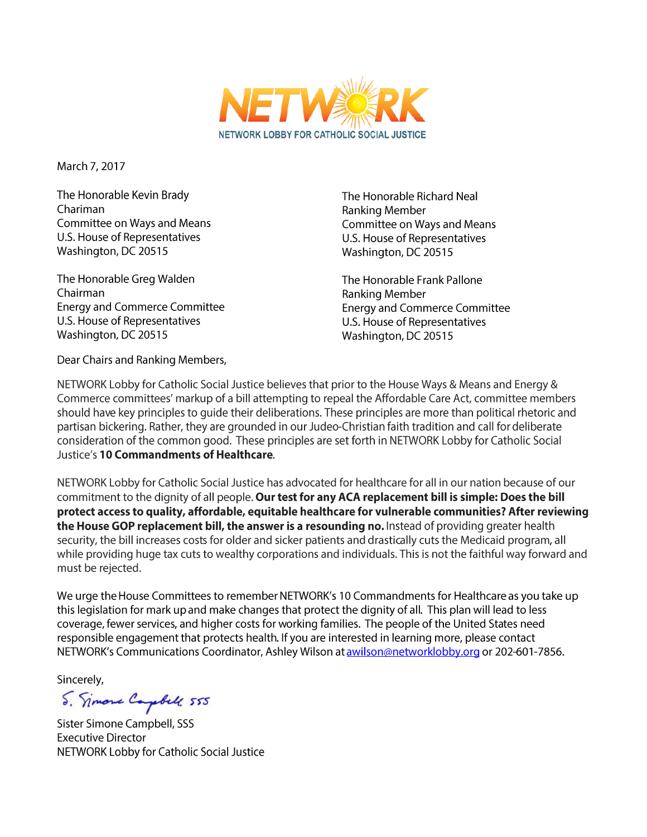

March 7, 2017

The Honorable Kevin Brady Chariman Committee on Ways and Means U.S. House of Representatives Washington, DC 20515

The Honorable Greg Walden Chairman **Energy and Commerce Committee** U.S. House of Representatives Washington, DC 20515

Dear Chairs and Ranking Members,

The Honorable Richard Neal Ranking Member Committee on Ways and Means U.S. House of Representatives Washington, DC 20515

The Honorable Frank Pallone Ranking Member **Energy and Commerce Committee** U.S. House of Representatives Washington, DC 20515

NETWORK Lobby for Catholic Social Justice believes that prior to the House Ways & Means and Energy & Commerce committees' markup of a bill attempting to repeal the Affordable Care Act, committee members should have key principles to quide their deliberations. These principles are more than political rhetoric and partisan bickering. Rather, they are grounded in our Judeo-Christian faith tradition and call for deliberate consideration of the common good. These principles are set forth in NETWORK Lobby for Catholic Social Justice's 10 Commandments of Healthcare.

NETWORK Lobby for Catholic Social Justice has advocated for healthcare for all in our nation because of our commitment to the dignity of all people. Our test for any ACA replacement bill is simple: Does the bill protect access to quality, affordable, equitable healthcare for vulnerable communities? After reviewing the House GOP replacement bill, the answer is a resounding no. Instead of providing greater health security, the bill increases costs for older and sicker patients and drastically cuts the Medicaid program, all while providing huge tax cuts to wealthy corporations and individuals. This is not the faithful way forward and must be rejected.

We urge the House Committees to remember NETWORK's 10 Commandments for Healthcare as you take up this legislation for mark up and make changes that protect the dignity of all. This plan will lead to less coverage, fewer services, and higher costs for working families. The people of the United States need responsible engagement that protects health. If you are interested in learning more, please contact NETWORK's Communications Coordinator, Ashley Wilson at awilson@networklobby.org or 202-601-7856.

Sincerely,

S. Simone Capbell 555

Sister Simone Campbell, SSS **Executive Director** NETWORK Lobby for Catholic Social Justice